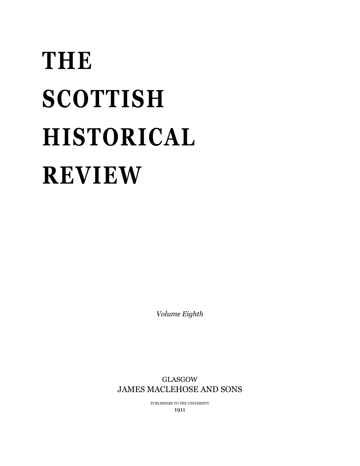# **THE SCOTTISH HISTORICAL REVIEW**

*Volume Eighth*

GLASGOW JAMES MACLEHOSE AND SONS

> PUBLISHERS TO THE UNIVERSITY 1911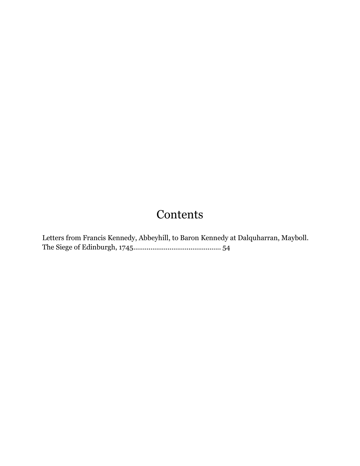## **Contents**

Letters from Francis Kennedy, Abbeyhill, to Baron Kennedy at Dalquharran, Mayboll. The Siege of Edinburgh, 1745.............................................. 54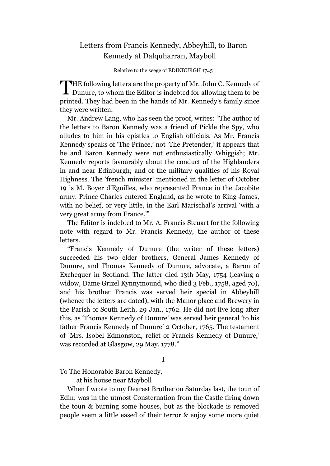### Letters from Francis Kennedy, Abbeyhill, to Baron Kennedy at Dalquharran, Mayboll

Relative to the seege of EDINBURGH 1745

THE following letters are the property of Mr. John C. Kennedy of Dunure, to whom the Editor is indebted for allowing them to be **L** Dunure, to whom the Editor is indebted for allowing them to be printed. They had been in the hands of Mr. Kennedy's family since they were written.

Mr. Andrew Lang, who has seen the proof, writes: "The author of the letters to Baron Kennedy was a friend of Pickle the Spy, who alludes to him in his epistles to English officials. As Mr. Francis Kennedy speaks of 'The Prince,' not 'The Pretender,' it appears that he and Baron Kennedy were not enthusiastically Whiggish; Mr. Kennedy reports favourably about the conduct of the Highlanders in and near Edinburgh; and of the military qualities of his Royal Highness. The 'french minister' mentioned in the letter of October 19 is M. Boyer d'Eguilles, who represented France in the Jacobite army. Prince Charles entered England, as he wrote to King James, with no belief, or very little, in the Earl Marischal's arrival 'with a very great army from France.'"

The Editor is indebted to Mr. A. Francis Steuart for the following note with regard to Mr. Francis Kennedy, the author of these letters.

"Francis Kennedy of Dunure (the writer of these letters) succeeded his two elder brothers, General James Kennedy of Dunure, and Thomas Kennedy of Dunure, advocate, a Baron of Exchequer in Scotland. The latter died 13th May, 1754 (leaving a widow, Dame Grizel Kynnymound, who died 3 Feb., 1758, aged 70), and his brother Francis was served heir special in Abbeyhill (whence the letters are dated), with the Manor place and Brewery in the Parish of South Leith, 29 Jan., 1762. He did not live long after this, as 'Thomas Kennedy of Dunure' was served heir general 'to his father Francis Kennedy of Dunure' 2 October, 1765. The testament of 'Mrs. Isobel Edmonston, relict of Francis Kennedy of Dunure,' was recorded at Glasgow, 29 May, 1778."

I

To The Honorable Baron Kennedy,

at his house near Mayboll

When I wrote to my Dearest Brother on Saturday last, the toun of Edin: was in the utmost Consternation from the Castle firing down the toun & burning some houses, but as the blockade is removed people seem a little eased of their terror & enjoy some more quiet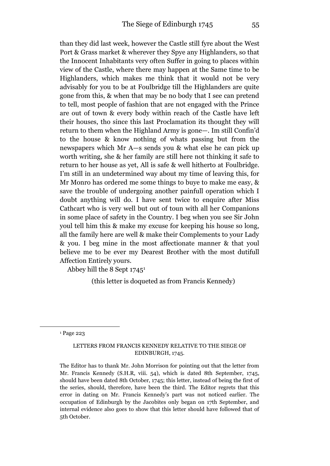than they did last week, however the Castle still fyre about the West Port & Grass market & wherever they Spye any Highlanders, so that the Innocent Inhabitants very often Suffer in going to places within view of the Castle, where there may happen at the Same time to be Highlanders, which makes me think that it would not be very advisably for you to be at Foulbridge till the Highlanders are quite gone from this, & when that may be no body that I see can pretend to tell, most people of fashion that are not engaged with the Prince are out of town & every body within reach of the Castle have left their houses, tho since this last Proclamation its thought they will return to them when the Highland Army is gone—. Im still Confin'd to the house & know nothing of whats passing but from the newspapers which Mr A—s sends you & what else he can pick up worth writing, she & her family are still here not thinking it safe to return to her house as yet, All is safe & well hitherto at Foulbridge. I'm still in an undetermined way about my time of leaving this, for Mr Monro has ordered me some things to buye to make me easy, & save the trouble of undergoing another painfull operation which I doubt anything will do. I have sent twice to enquire after Miss Cathcart who is very well but out of toun with all her Companions in some place of safety in the Country. I beg when you see Sir John youl tell him this & make my excuse for keeping his house so long, all the family here are well & make their Complements to your Lady & you. I beg mine in the most affectionate manner & that youl believe me to be ever my Dearest Brother with the most dutifull Affection Entirely yours.

Abbey hill the 8 Sept 1745<sup>1</sup>

(this letter is doqueted as from Francis Kennedy)

<sup>1</sup> Page 223

1

#### LETTERS FROM FRANCIS KENNEDY RELATIVE TO THE SIEGE OF EDINBURGH, 1745.

The Editor has to thank Mr. John Morrison for pointing out that the letter from Mr. Francis Kennedy (S.H.R, viii. 54), which is dated 8th September, 1745, should have been dated 8th October, 1745; this letter, instead of being the first of the series, should, therefore, have been the third. The Editor regrets that this error in dating on Mr. Francis Kennedy's part was not noticed earlier. The occupation of Edinburgh by the Jacobites only began on 17th September, and internal evidence also goes to show that this letter should have followed that of 5th October.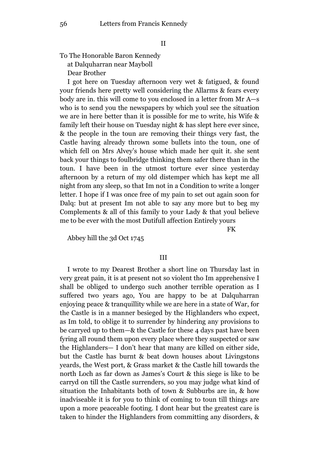To The Honorable Baron Kennedy at Dalquharran near Mayboll Dear Brother

I got here on Tuesday afternoon very wet & fatigued, & found your friends here pretty well considering the Allarms & fears every body are in. this will come to you enclosed in a letter from Mr A—s who is to send you the newspapers by which youl see the situation we are in here better than it is possible for me to write, his Wife & family left their house on Tuesday night & has slept here ever since, & the people in the toun are removing their things very fast, the Castle having already thrown some bullets into the toun, one of which fell on Mrs Alvey's house which made her quit it. she sent back your things to foulbridge thinking them safer there than in the toun. I have been in the utmost torture ever since yesterday afternoon by a return of my old distemper which has kept me all night from any sleep, so that Im not in a Condition to write a longer letter. I hope if I was once free of my pain to set out again soon for Dalq: but at present Im not able to say any more but to beg my Complements & all of this family to your Lady & that youl believe me to be ever with the most Dutifull affection Entirely yours

FK

Abbey hill the 3d Oct 1745

#### III

I wrote to my Dearest Brother a short line on Thursday last in very great pain, it is at present not so violent tho Im apprehensive I shall be obliged to undergo such another terrible operation as I suffered two years ago, You are happy to be at Dalquharran enjoying peace & tranquillity while we are here in a state of War, for the Castle is in a manner besieged by the Highlanders who expect, as Im told, to oblige it to surrender by hindering any provisions to be carryed up to them—& the Castle for these 4 days past have been fyring all round them upon every place where they suspected or saw the Highlanders— I don't hear that many are killed on either side, but the Castle has burnt & beat down houses about Livingstons yeards, the West port, & Grass market & the Castle hill towards the north Loch as far down as James's Court & this siege is like to be carryd on till the Castle surrenders, so you may judge what kind of situation the Inhabitants both of town & Subburbs are in, & how inadviseable it is for you to think of coming to toun till things are upon a more peaceable footing. I dont hear but the greatest care is taken to hinder the Highlanders from committing any disorders, &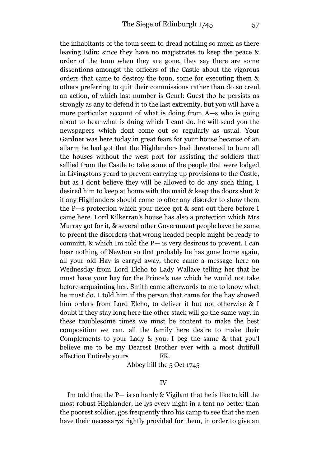the inhabitants of the toun seem to dread nothing so much as there leaving Edin: since they have no magistrates to keep the peace & order of the toun when they are gone, they say there are some dissentions amongst the officers of the Castle about the vigorous orders that came to destroy the toun, some for executing them & others preferring to quit their commissions rather than do so creul an action, of which last number is Genrl: Guest tho he persists as strongly as any to defend it to the last extremity, but you will have a more particular account of what is doing from A—s who is going about to hear what is doing which I cant do. he will send you the newspapers which dont come out so regularly as usual. Your Gardner was here today in great fears for your house because of an allarm he had got that the Highlanders had threatened to burn all the houses without the west port for assisting the soldiers that sallied from the Castle to take some of the people that were lodged in Livingstons yeard to prevent carrying up provisions to the Castle, but as I dont believe they will be allowed to do any such thing, I desired him to keep at home with the maid & keep the doors shut & if any Highlanders should come to offer any disorder to show them the P—s protection which your neice got & sent out there before I came here. Lord Kilkerran's house has also a protection which Mrs Murray got for it, & several other Government people have the same to preent the disorders that wrong headed people might be ready to committ, & which Im told the P— is very desirous to prevent. I can hear nothing of Newton so that probably he has gone home again, all your old Hay is carryd away, there came a message here on Wednesday from Lord Elcho to Lady Wallace telling her that he must have your hay for the Prince's use which he would not take before acquainting her. Smith came afterwards to me to know what he must do. I told him if the person that came for the hay showed him orders from Lord Elcho, to deliver it but not otherwise & I doubt if they stay long here the other stack will go the same way. in these troublesome times we must be content to make the best composition we can. all the family here desire to make their Complements to your Lady & you. I beg the same & that you'l believe me to be my Dearest Brother ever with a most dutifull affection Entirely yours FK.

Abbey hill the 5 Oct 1745

Im told that the  $P$ — is so hardy & Vigilant that he is like to kill the most robust Highlander, he lys every night in a tent no better than the poorest soldier, gos frequently thro his camp to see that the men have their necessarys rightly provided for them, in order to give an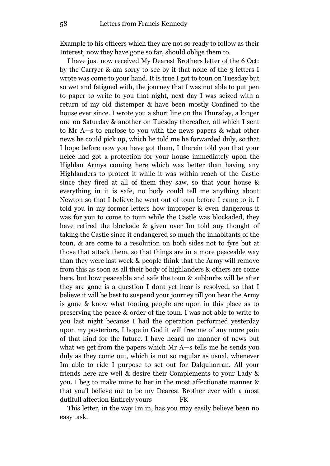Example to his officers which they are not so ready to follow as their Interest, now they have gone so far, should oblige them to.

I have just now received My Dearest Brothers letter of the 6 Oct: by the Carryer & am sorry to see by it that none of the 3 letters I wrote was come to your hand. It is true I got to toun on Tuesday but so wet and fatigued with, the journey that I was not able to put pen to paper to write to you that night, next day I was seized with a return of my old distemper & have been mostly Confined to the house ever since. I wrote you a short line on the Thursday, a longer one on Saturday & another on Tuesday thereafter, all which I sent to Mr A—s to enclose to you with the news papers & what other news he could pick up, which he told me he forwarded duly, so that I hope before now you have got them, I therein told you that your neice had got a protection for your house immediately upon the Highlan Armys coming here which was better than having any Highlanders to protect it while it was within reach of the Castle since they fired at all of them they saw, so that your house & everything in it is safe, no body could tell me anything about Newton so that I believe he went out of toun before I came to it. I told you in my former letters how improper & even dangerous it was for you to come to toun while the Castle was blockaded, they have retired the blockade & given over Im told any thought of taking the Castle since it endangered so much the inhabitants of the toun, & are come to a resolution on both sides not to fyre but at those that attack them, so that things are in a more peaceable way than they were last week & people think that the Army will remove from this as soon as all their body of highlanders & others are come here, but how peaceable and safe the toun & subburbs will be after they are gone is a question I dont yet hear is resolved, so that I believe it will be best to suspend your journey till you hear the Army is gone & know what footing people are upon in this place as to preserving the peace & order of the toun. I was not able to write to you last night because I had the operation performed yesterday upon my posteriors, I hope in God it will free me of any more pain of that kind for the future. I have heard no manner of news but what we get from the papers which Mr A—s tells me he sends you duly as they come out, which is not so regular as usual, whenever Im able to ride I purpose to set out for Dalquharran. All your friends here are well & desire their Complements to your Lady & you. I beg to make mine to her in the most affectionate manner & that you'l believe me to be my Dearest Brother ever with a most dutifull affection Entirely yours FK

This letter, in the way Im in, has you may easily believe been no easy task.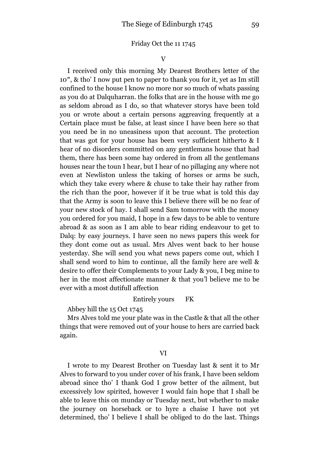#### Friday Oct the 11 1745

V

I received only this morning My Dearest Brothers letter of the 10″, & tho' I now put pen to paper to thank you for it, yet as Im still confined to the house I know no more nor so much of whats passing as you do at Dalquharran. the folks that are in the house with me go as seldom abroad as I do, so that whatever storys have been told you or wrote about a certain persons aggreaving frequently at a Certain place must be false, at least since I have been here so that you need be in no uneasiness upon that account. The protection that was got for your house has been very sufficient hitherto & I hear of no disorders committed on any gentlemans house that had them, there has been some hay ordered in from all the gentlemans houses near the toun I hear, but I hear of no pillaging any where not even at Newliston unless the taking of horses or arms be such, which they take every where & chuse to take their hay rather from the rich than the poor, however if it be true what is told this day that the Army is soon to leave this I believe there will be no fear of your new stock of hay. I shall send Sam tomorrow with the money you ordered for you maid, I hope in a few days to be able to venture abroad & as soon as I am able to bear riding endeavour to get to Dalq: by easy journeys. I have seen no news papers this week for they dont come out as usual. Mrs Alves went back to her house yesterday. She will send you what news papers come out, which I shall send word to him to continue, all the family here are well & desire to offer their Complements to your Lady & you, I beg mine to her in the most affectionate manner & that you'l believe me to be ever with a most dutifull affection

#### Entirely yours FK

Abbey hill the 15 Oct 1745

Mrs Alves told me your plate was in the Castle & that all the other things that were removed out of your house to hers are carried back again.

#### VI

I wrote to my Dearest Brother on Tuesday last & sent it to Mr Alves to forward to you under cover of his frank, I have been seldom abroad since tho' I thank God I grow better of the ailment, but excessively low spirited, however I would fain hope that I shall be able to leave this on munday or Tuesday next, but whether to make the journey on horseback or to hyre a chaise I have not yet determined, tho' I believe I shall be obliged to do the last. Things